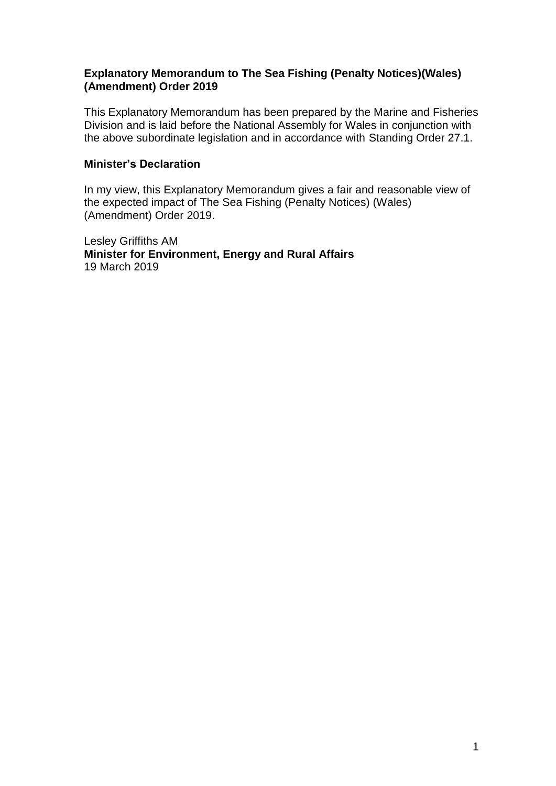### **Explanatory Memorandum to The Sea Fishing (Penalty Notices)(Wales) (Amendment) Order 2019**

This Explanatory Memorandum has been prepared by the Marine and Fisheries Division and is laid before the National Assembly for Wales in conjunction with the above subordinate legislation and in accordance with Standing Order 27.1.

#### **Minister's Declaration**

In my view, this Explanatory Memorandum gives a fair and reasonable view of the expected impact of The Sea Fishing (Penalty Notices) (Wales) (Amendment) Order 2019.

Lesley Griffiths AM **Minister for Environment, Energy and Rural Affairs** 19 March 2019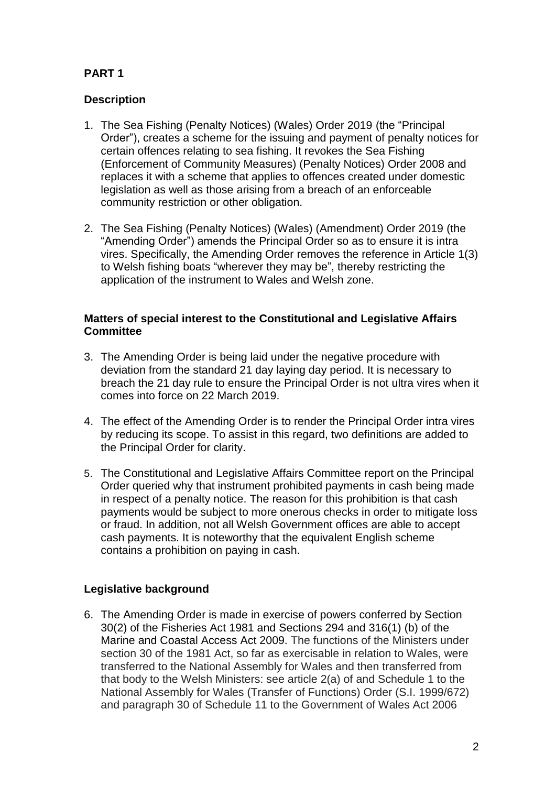# **PART 1**

### **Description**

- 1. The Sea Fishing (Penalty Notices) (Wales) Order 2019 (the "Principal Order"), creates a scheme for the issuing and payment of penalty notices for certain offences relating to sea fishing. It revokes the Sea Fishing (Enforcement of Community Measures) (Penalty Notices) Order 2008 and replaces it with a scheme that applies to offences created under domestic legislation as well as those arising from a breach of an enforceable community restriction or other obligation.
- 2. The Sea Fishing (Penalty Notices) (Wales) (Amendment) Order 2019 (the "Amending Order") amends the Principal Order so as to ensure it is intra vires. Specifically, the Amending Order removes the reference in Article 1(3) to Welsh fishing boats "wherever they may be", thereby restricting the application of the instrument to Wales and Welsh zone.

#### **Matters of special interest to the Constitutional and Legislative Affairs Committee**

- 3. The Amending Order is being laid under the negative procedure with deviation from the standard 21 day laying day period. It is necessary to breach the 21 day rule to ensure the Principal Order is not ultra vires when it comes into force on 22 March 2019.
- 4. The effect of the Amending Order is to render the Principal Order intra vires by reducing its scope. To assist in this regard, two definitions are added to the Principal Order for clarity.
- 5. The Constitutional and Legislative Affairs Committee report on the Principal Order queried why that instrument prohibited payments in cash being made in respect of a penalty notice. The reason for this prohibition is that cash payments would be subject to more onerous checks in order to mitigate loss or fraud. In addition, not all Welsh Government offices are able to accept cash payments. It is noteworthy that the equivalent English scheme contains a prohibition on paying in cash.

## **Legislative background**

6. The Amending Order is made in exercise of powers conferred by Section 30(2) of the Fisheries Act 1981 and Sections 294 and 316(1) (b) of the Marine and Coastal Access Act 2009. The functions of the Ministers under section 30 of the 1981 Act, so far as exercisable in relation to Wales, were transferred to the National Assembly for Wales and then transferred from that body to the Welsh Ministers: see article 2(a) of and Schedule 1 to the National Assembly for Wales (Transfer of Functions) Order (S.I. 1999/672) and paragraph 30 of Schedule 11 to the Government of Wales Act 2006